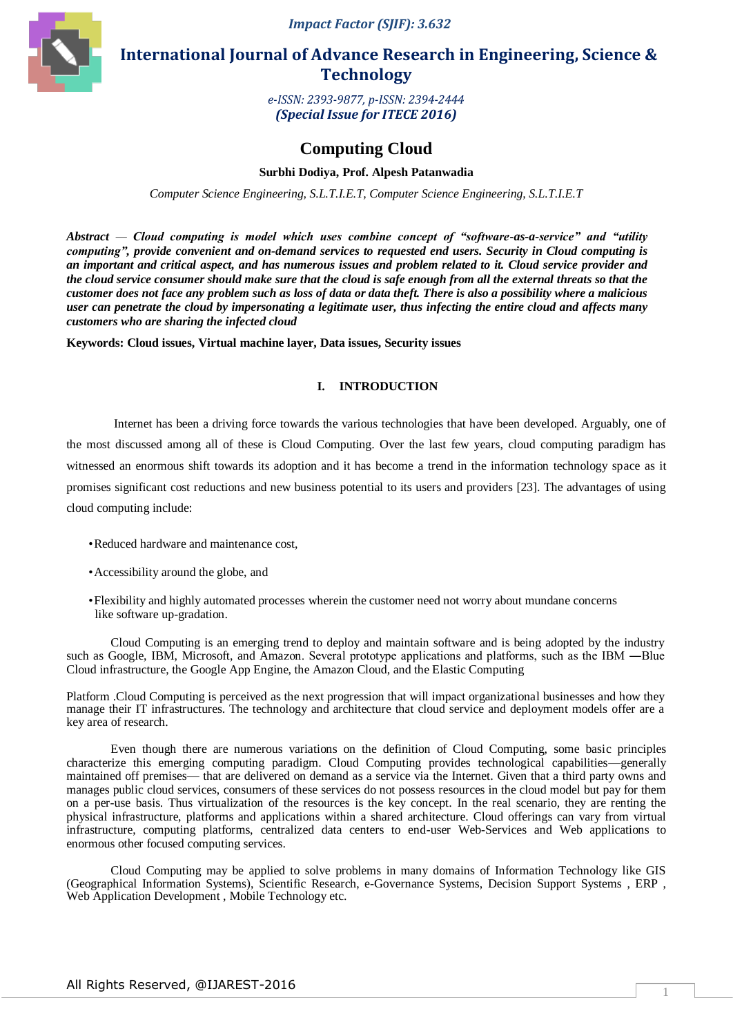*Impact Factor (SJIF): 3.632*



 **International Journal of Advance Research in Engineering, Science & Technology** 

> *e-ISSN: 2393-9877, p-ISSN: 2394-2444 (Special Issue for ITECE 2016)*

# **Computing Cloud**

# **Surbhi Dodiya, Prof. Alpesh Patanwadia**

*Computer Science Engineering, S.L.T.I.E.T, Computer Science Engineering, S.L.T.I.E.T*

*Abstract — Cloud computing is model which uses combine concept of "software-as-a-service" and "utility computing", provide convenient and on-demand services to requested end users. Security in Cloud computing is an important and critical aspect, and has numerous issues and problem related to it. Cloud service provider and the cloud service consumer should make sure that the cloud is safe enough from all the external threats so that the customer does not face any problem such as loss of data or data theft. There is also a possibility where a malicious user can penetrate the cloud by impersonating a legitimate user, thus infecting the entire cloud and affects many customers who are sharing the infected cloud*

**Keywords: Cloud issues, Virtual machine layer, Data issues, Security issues**

## **I. INTRODUCTION**

Internet has been a driving force towards the various technologies that have been developed. Arguably, one of the most discussed among all of these is Cloud Computing. Over the last few years, cloud computing paradigm has witnessed an enormous shift towards its adoption and it has become a trend in the information technology space as it promises significant cost reductions and new business potential to its users and providers [23]. The advantages of using cloud computing include:

- •Reduced hardware and maintenance cost,
- •Accessibility around the globe, and
- •Flexibility and highly automated processes wherein the customer need not worry about mundane concerns like software up-gradation.

Cloud Computing is an emerging trend to deploy and maintain software and is being adopted by the industry such as Google, IBM, Microsoft, and Amazon. Several prototype applications and platforms, such as the IBM —Blue Cloud infrastructure, the Google App Engine, the Amazon Cloud, and the Elastic Computing

Platform .Cloud Computing is perceived as the next progression that will impact organizational businesses and how they manage their IT infrastructures. The technology and architecture that cloud service and deployment models offer are a key area of research.

Even though there are numerous variations on the definition of Cloud Computing, some basic principles characterize this emerging computing paradigm. Cloud Computing provides technological capabilities—generally maintained off premises— that are delivered on demand as a service via the Internet. Given that a third party owns and manages public cloud services, consumers of these services do not possess resources in the cloud model but pay for them on a per-use basis. Thus virtualization of the resources is the key concept. In the real scenario, they are renting the physical infrastructure, platforms and applications within a shared architecture. Cloud offerings can vary from virtual infrastructure, computing platforms, centralized data centers to end-user Web-Services and Web applications to enormous other focused computing services.

Cloud Computing may be applied to solve problems in many domains of Information Technology like GIS (Geographical Information Systems), Scientific Research, e-Governance Systems, Decision Support Systems , ERP , Web Application Development , Mobile Technology etc.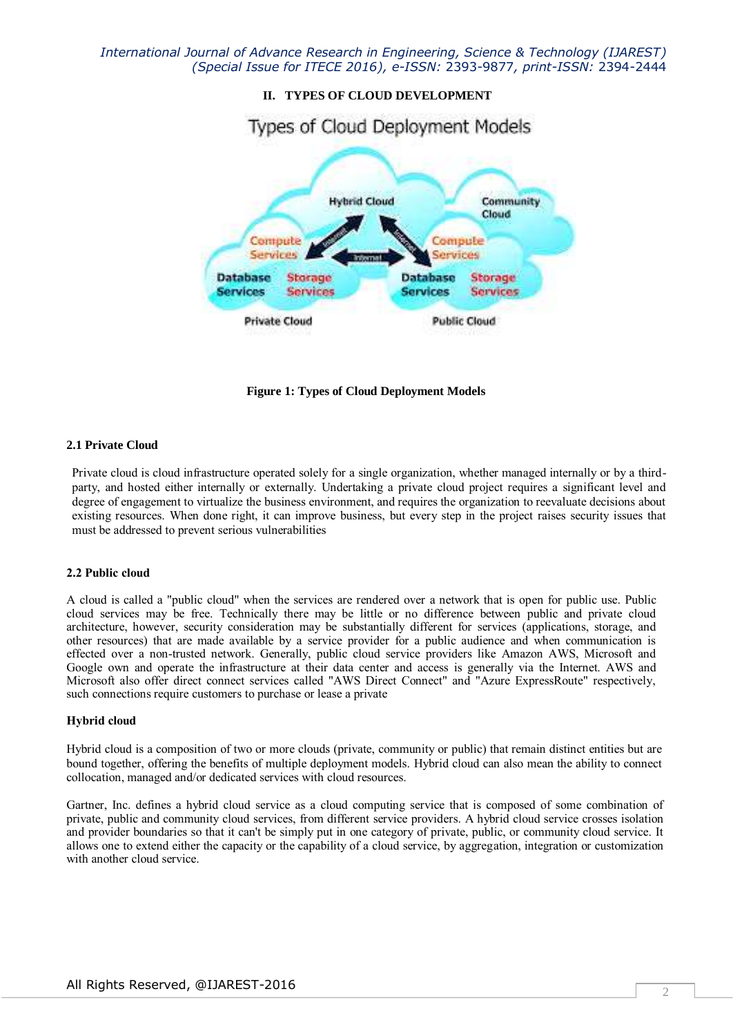

**Figure 1: Types of Cloud Deployment Models**

#### **2.1 Private Cloud**

Private cloud is cloud infrastructure operated solely for a single organization, whether managed internally or by a thirdparty, and hosted either internally or externally. Undertaking a private cloud project requires a significant level and degree of engagement to virtualize the business environment, and requires the organization to reevaluate decisions about existing resources. When done right, it can improve business, but every step in the project raises security issues that must be addressed to prevent serious vulnerabilities

#### **2.2 Public cloud**

A cloud is called a "public cloud" when the services are rendered over a network that is open for public use. Public cloud services may be free. Technically there may be little or no difference between public and private cloud architecture, however, security consideration may be substantially different for services (applications, storage, and other resources) that are made available by a service provider for a public audience and when communication is effected over a non-trusted network. Generally, public cloud service providers like Amazon AWS, Microsoft and Google own and operate the infrastructure at their data center and access is generally via the Internet. AWS and Microsoft also offer direct connect services called "AWS Direct Connect" and "Azure ExpressRoute" respectively, such connections require customers to purchase or lease a private

#### **Hybrid cloud**

Hybrid cloud is a composition of two or more clouds (private, community or public) that remain distinct entities but are bound together, offering the benefits of multiple deployment models. Hybrid cloud can also mean the ability to connect collocation, managed and/or dedicated services with cloud resources.

Gartner, Inc. defines a hybrid cloud service as a cloud computing service that is composed of some combination of private, public and community cloud services, from different service providers. A hybrid cloud service crosses isolation and provider boundaries so that it can't be simply put in one category of private, public, or community cloud service. It allows one to extend either the capacity or the capability of a cloud service, by aggregation, integration or customization with another cloud service.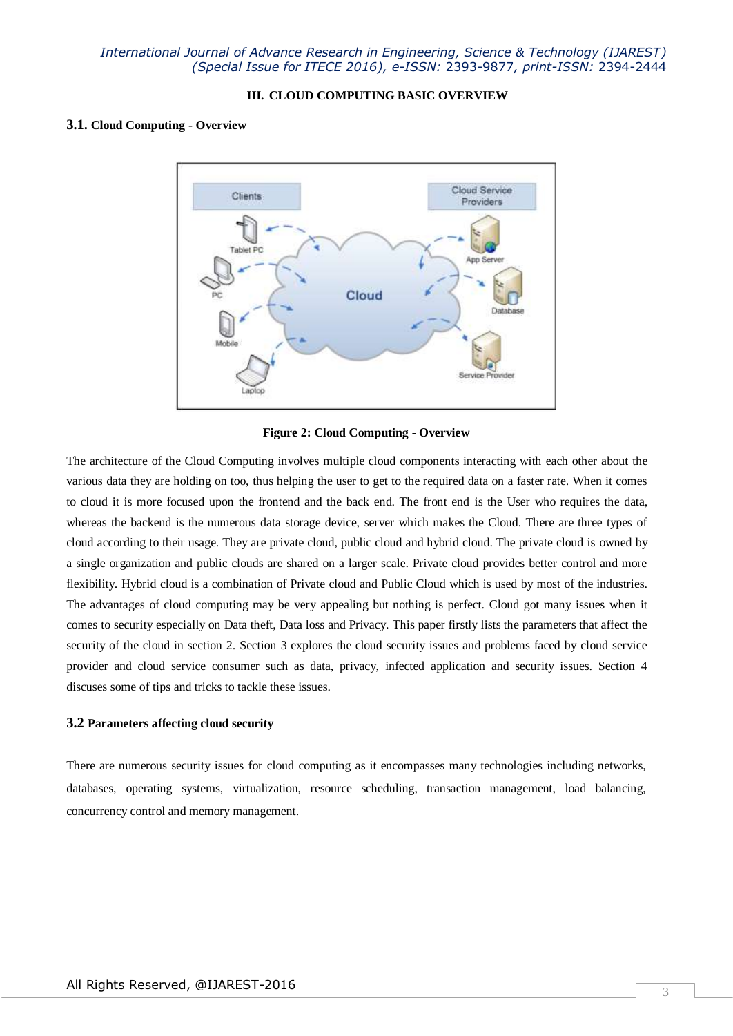## **III. CLOUD COMPUTING BASIC OVERVIEW**

#### **3.1. Cloud Computing - Overview**



**Figure 2: Cloud Computing - Overview**

The architecture of the Cloud Computing involves multiple cloud components interacting with each other about the various data they are holding on too, thus helping the user to get to the required data on a faster rate. When it comes to cloud it is more focused upon the frontend and the back end. The front end is the User who requires the data, whereas the backend is the numerous data storage device, server which makes the Cloud. There are three types of cloud according to their usage. They are private cloud, public cloud and hybrid cloud. The private cloud is owned by a single organization and public clouds are shared on a larger scale. Private cloud provides better control and more flexibility. Hybrid cloud is a combination of Private cloud and Public Cloud which is used by most of the industries. The advantages of cloud computing may be very appealing but nothing is perfect. Cloud got many issues when it comes to security especially on Data theft, Data loss and Privacy. This paper firstly lists the parameters that affect the security of the cloud in section 2. Section 3 explores the cloud security issues and problems faced by cloud service provider and cloud service consumer such as data, privacy, infected application and security issues. Section 4 discuses some of tips and tricks to tackle these issues.

#### **3.2 Parameters affecting cloud security**

There are numerous security issues for cloud computing as it encompasses many technologies including networks, databases, operating systems, virtualization, resource scheduling, transaction management, load balancing, concurrency control and memory management.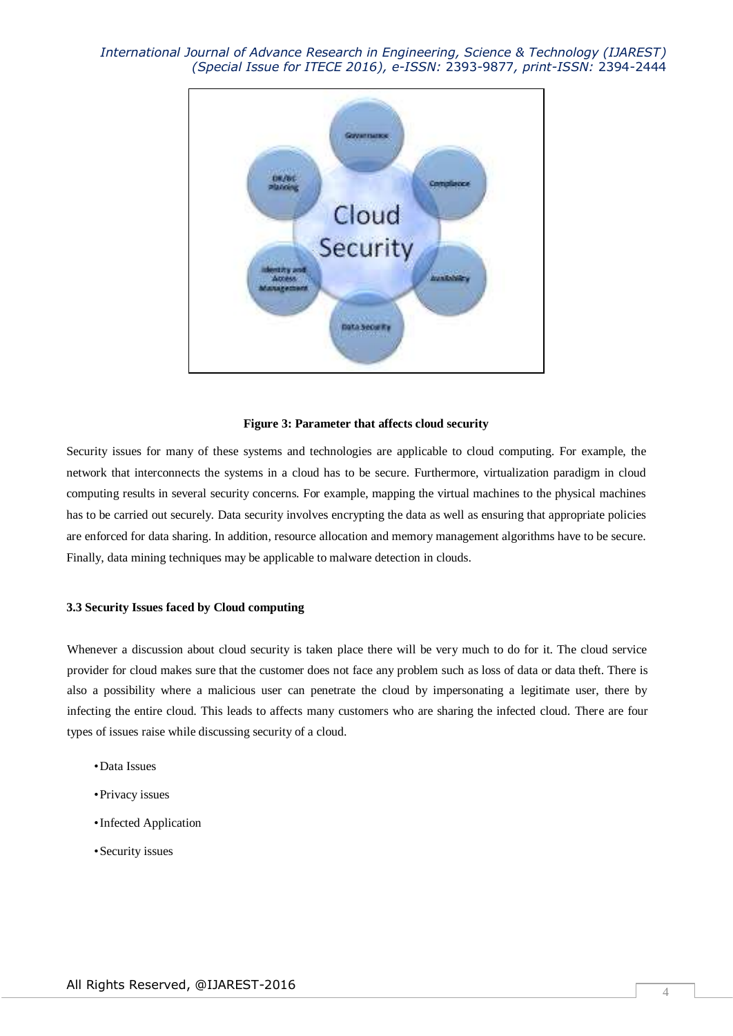

## **Figure 3: Parameter that affects cloud security**

Security issues for many of these systems and technologies are applicable to cloud computing. For example, the network that interconnects the systems in a cloud has to be secure. Furthermore, virtualization paradigm in cloud computing results in several security concerns. For example, mapping the virtual machines to the physical machines has to be carried out securely. Data security involves encrypting the data as well as ensuring that appropriate policies are enforced for data sharing. In addition, resource allocation and memory management algorithms have to be secure. Finally, data mining techniques may be applicable to malware detection in clouds.

#### **3.3 Security Issues faced by Cloud computing**

Whenever a discussion about cloud security is taken place there will be very much to do for it. The cloud service provider for cloud makes sure that the customer does not face any problem such as loss of data or data theft. There is also a possibility where a malicious user can penetrate the cloud by impersonating a legitimate user, there by infecting the entire cloud. This leads to affects many customers who are sharing the infected cloud. There are four types of issues raise while discussing security of a cloud.

- •Data Issues
- •Privacy issues
- •Infected Application
- •Security issues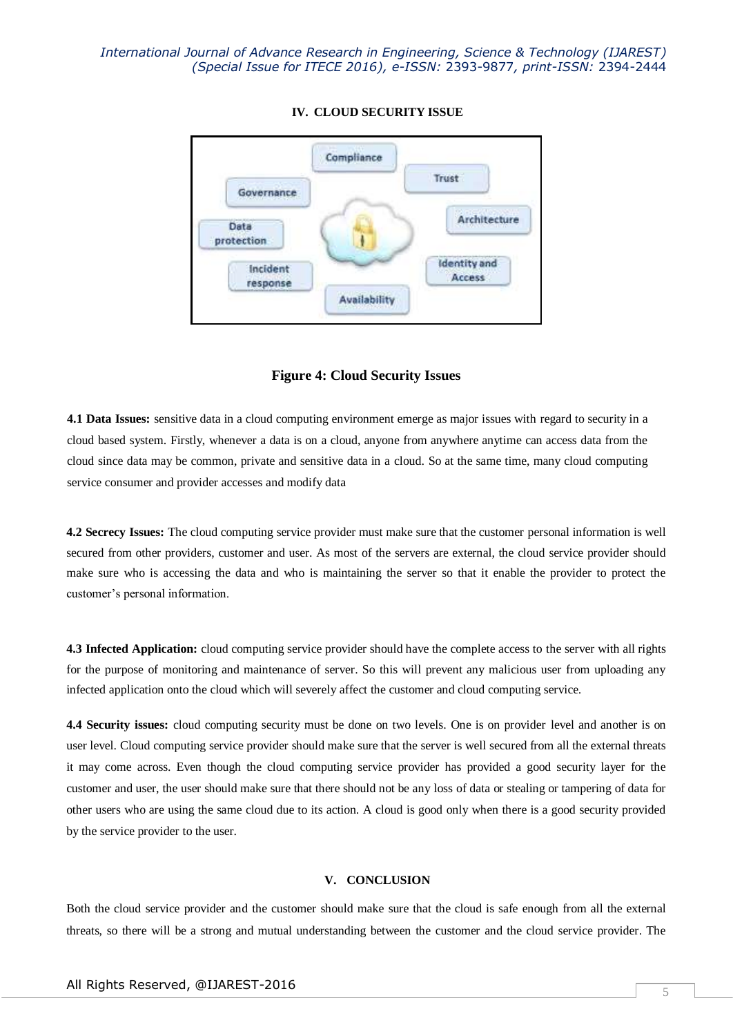

## **IV. CLOUD SECURITY ISSUE**

## **Figure 4: Cloud Security Issues**

**4.1 Data Issues:** sensitive data in a cloud computing environment emerge as major issues with regard to security in a cloud based system. Firstly, whenever a data is on a cloud, anyone from anywhere anytime can access data from the cloud since data may be common, private and sensitive data in a cloud. So at the same time, many cloud computing service consumer and provider accesses and modify data

**4.2 Secrecy Issues:** The cloud computing service provider must make sure that the customer personal information is well secured from other providers, customer and user. As most of the servers are external, the cloud service provider should make sure who is accessing the data and who is maintaining the server so that it enable the provider to protect the customer's personal information.

**4.3 Infected Application:** cloud computing service provider should have the complete access to the server with all rights for the purpose of monitoring and maintenance of server. So this will prevent any malicious user from uploading any infected application onto the cloud which will severely affect the customer and cloud computing service.

**4.4 Security issues:** cloud computing security must be done on two levels. One is on provider level and another is on user level. Cloud computing service provider should make sure that the server is well secured from all the external threats it may come across. Even though the cloud computing service provider has provided a good security layer for the customer and user, the user should make sure that there should not be any loss of data or stealing or tampering of data for other users who are using the same cloud due to its action. A cloud is good only when there is a good security provided by the service provider to the user.

#### **V. CONCLUSION**

Both the cloud service provider and the customer should make sure that the cloud is safe enough from all the external threats, so there will be a strong and mutual understanding between the customer and the cloud service provider. The